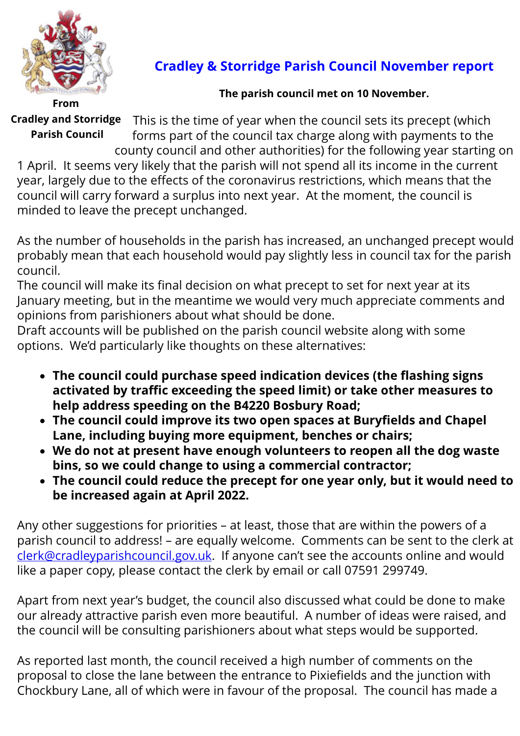

## **Cradley & Storridge Parish Council November report**

## **The parish council met on 10 November.**

**From Cradley and Storridge Parish Council**

This is the time of year when the council sets its precept (which forms part of the council tax charge along with payments to the county council and other authorities) for the following year starting on

1 April. It seems very likely that the parish will not spend all its income in the current year, largely due to the effects of the coronavirus restrictions, which means that the council will carry forward a surplus into next year. At the moment, the council is minded to leave the precept unchanged.

As the number of households in the parish has increased, an unchanged precept would probably mean that each household would pay slightly less in council tax for the parish council.

The council will make its final decision on what precept to set for next year at its January meeting, but in the meantime we would very much appreciate comments and opinions from parishioners about what should be done.

Draft accounts will be published on the parish council website along with some options. We'd particularly like thoughts on these alternatives:

- · **The council could purchase speed indication devices (the flashing signs activated by traffic exceeding the speed limit) or take other measures to help address speeding on the B4220 Bosbury Road;**
- · **The council could improve its two open spaces at Buryfields and Chapel Lane, including buying more equipment, benches or chairs;**
- · **We do not at present have enough volunteers to reopen all the dog waste bins, so we could change to using a commercial contractor;**
- · **The council could reduce the precept for one year only, but it would need to be increased again at April 2022.**

Any other suggestions for priorities – at least, those that are within the powers of a parish council to address! – are equally welcome. Comments can be sent to the clerk at [clerk@cradleyparishcouncil.gov.uk.](mailto:clerk@cradleyparishcouncil.gov.uk) If anyone can't see the accounts online and would like a paper copy, please contact the clerk by email or call 07591 299749.

Apart from next year's budget, the council also discussed what could be done to make our already attractive parish even more beautiful. A number of ideas were raised, and the council will be consulting parishioners about what steps would be supported.

As reported last month, the council received a high number of comments on the proposal to close the lane between the entrance to Pixiefields and the junction with Chockbury Lane, all of which were in favour of the proposal. The council has made a